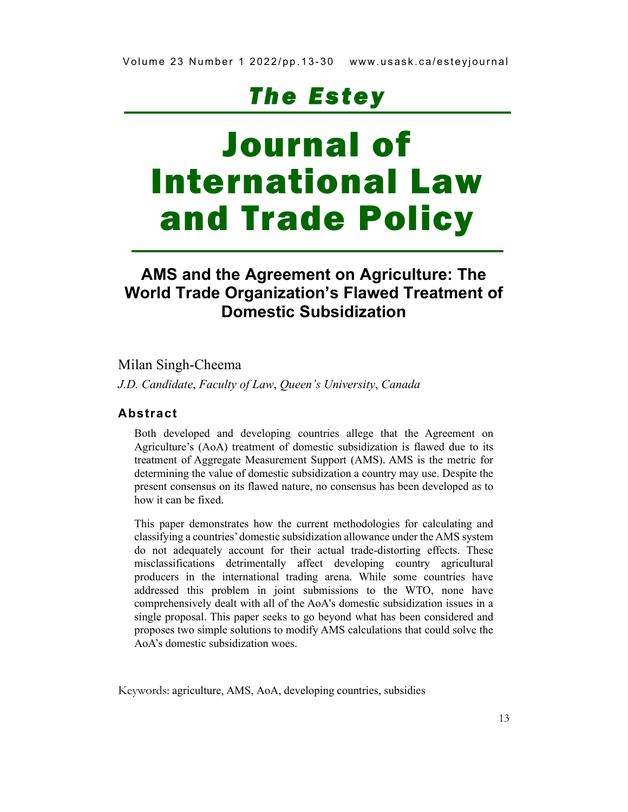# *Th e E s te y*

# Journal of International Law and Trade Policy

### **AMS and the Agreement on Agriculture: The World Trade Organization's Flawed Treatment of Domestic Subsidization**

#### Milan Singh-Cheema

*J.D. Candidate*, *Faculty of Law*, *Queen's University*, *Canada* 

#### **Abstract**

Both developed and developing countries allege that the Agreement on Agriculture's (AoA) treatment of domestic subsidization is flawed due to its treatment of Aggregate Measurement Support (AMS). AMS is the metric for determining the value of domestic subsidization a country may use. Despite the present consensus on its flawed nature, no consensus has been developed as to how it can be fixed.

This paper demonstrates how the current methodologies for calculating and classifying a countries' domestic subsidization allowance under the AMS system do not adequately account for their actual trade-distorting effects. These misclassifications detrimentally affect developing country agricultural producers in the international trading arena. While some countries have addressed this problem in joint submissions to the WTO, none have comprehensively dealt with all of the AoA's domestic subsidization issues in a single proposal. This paper seeks to go beyond what has been considered and proposes two simple solutions to modify AMS calculations that could solve the AoA's domestic subsidization woes.

Keywords: agriculture, AMS, AoA, developing countries, subsidies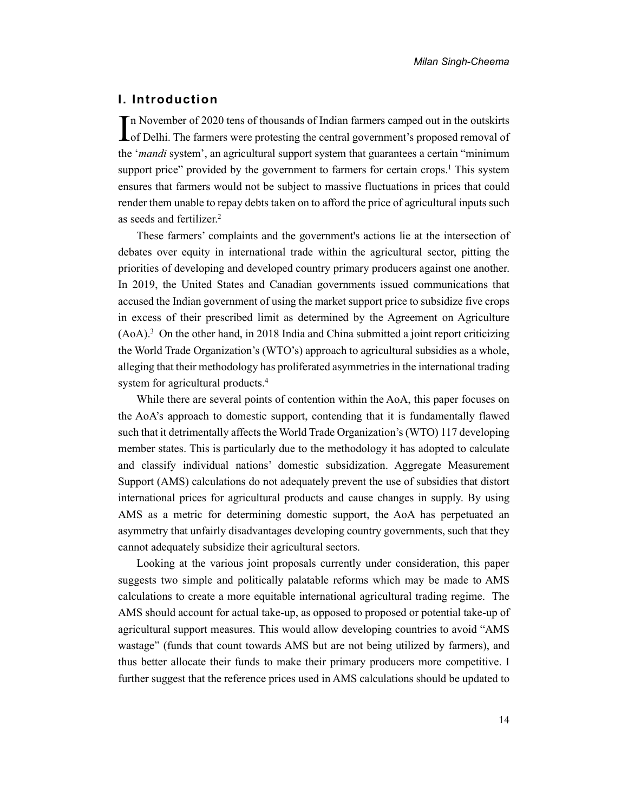#### **I. Introduction**

n November of 2020 tens of thousands of Indian farmers camped out in the outskirts In November of 2020 tens of thousands of Indian farmers camped out in the outskirts<br>
In The farmers were protesting the central government's proposed removal of the '*mandi* system', an agricultural support system that guarantees a certain "minimum support price" provided by the government to farmers for certain crop[s.](#page-13-0)<sup>1</sup> This system ensures that farmers would not be subject to massive fluctuations in prices that could render them unable to repay debts taken on to afford the price of agricultural inputs such as seeds and fertilize[r.](#page-13-1)<sup>2</sup>

These farmers' complaints and the government's actions lie at the intersection of debates over equity in international trade within the agricultural sector, pitting the priorities of developing and developed country primary producers against one another. In 2019, the United States and Canadian governments issued communications that accused the Indian government of using the market support price to subsidize five crops in excess of their prescribed limit as determined by the Agreement on Agriculture  $(AoA)<sup>3</sup>$  On the other hand, in 2018 India and China submitted a joint report criticizing the World Trade Organization's (WTO's) approach to agricultural subsidies as a whole, alleging that their methodology has proliferated asymmetries in the international trading system for agricultural products[.](#page-13-3)<sup>4</sup>

While there are several points of contention within the AoA, this paper focuses on the AoA's approach to domestic support, contending that it is fundamentally flawed such that it detrimentally affects the World Trade Organization's (WTO) 117 developing member states. This is particularly due to the methodology it has adopted to calculate and classify individual nations' domestic subsidization. Aggregate Measurement Support (AMS) calculations do not adequately prevent the use of subsidies that distort international prices for agricultural products and cause changes in supply. By using AMS as a metric for determining domestic support, the AoA has perpetuated an asymmetry that unfairly disadvantages developing country governments, such that they cannot adequately subsidize their agricultural sectors.

Looking at the various joint proposals currently under consideration, this paper suggests two simple and politically palatable reforms which may be made to AMS calculations to create a more equitable international agricultural trading regime. The AMS should account for actual take-up, as opposed to proposed or potential take-up of agricultural support measures. This would allow developing countries to avoid "AMS wastage" (funds that count towards AMS but are not being utilized by farmers), and thus better allocate their funds to make their primary producers more competitive. I further suggest that the reference prices used in AMS calculations should be updated to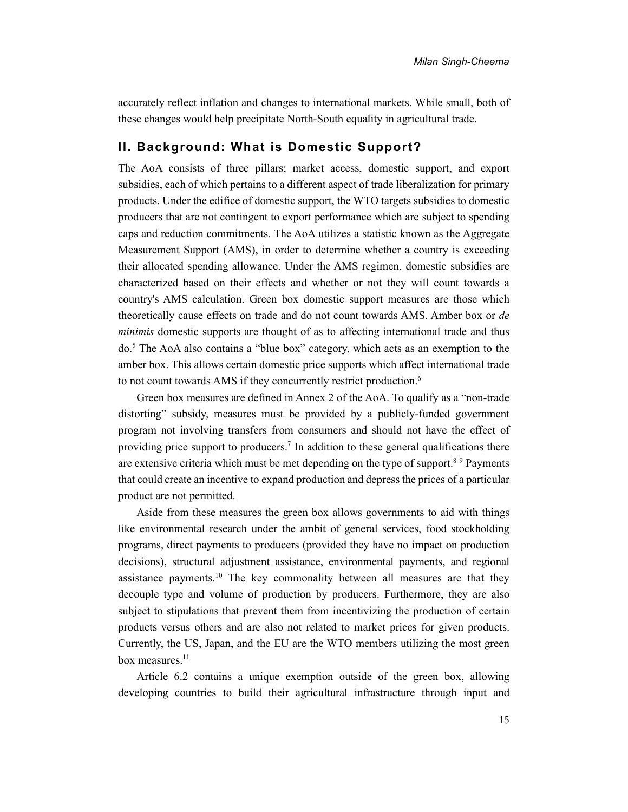accurately reflect inflation and changes to international markets. While small, both of these changes would help precipitate North-South equality in agricultural trade.

#### **II. Background: What is Domestic Support?**

The AoA consists of three pillars; market access, domestic support, and export subsidies, each of which pertains to a different aspect of trade liberalization for primary products. Under the edifice of domestic support, the WTO targets subsidies to domestic producers that are not contingent to export performance which are subject to spending caps and reduction commitments. The AoA utilizes a statistic known as the Aggregate Measurement Support (AMS), in order to determine whether a country is exceeding their allocated spending allowance. Under the AMS regimen, domestic subsidies are characterized based on their effects and whether or not they will count towards a country's AMS calculation. Green box domestic support measures are those which theoretically cause effects on trade and do not count towards AMS. Amber box or *de minimis* domestic supports are thought of as to affecting international trade and thus do.<sup>5</sup> The AoA also contains a "blue box" category, which acts as an exemption to the amber box. This allows certain domestic price supports which affect international trade to not count towards AMS if they concurrently restrict production[.](#page-14-1)<sup>6</sup>

Green box measures are defined in Annex 2 of the AoA. To qualify as a "non-trade distorting" subsidy, measures must be provided by a publicly-funded government program not involving transfers from consumers and should not have the effect of providing price support to producers[.](#page-14-2)<sup>7</sup> In addition to these general qualifications there are extensive criteria which must be met depending on the type of support.<sup>[8](#page-14-3)9</sup>Payments that could create an incentive to expand production and depress the prices of a particular product are not permitted.

Aside from these measures the green box allows governments to aid with things like environmental research under the ambit of general services, food stockholding programs, direct payments to producers (provided they have no impact on production decisions), structural adjustment assistance, environmental payments, and regional assistance payments.[10](#page-14-5) The key commonality between all measures are that they decouple type and volume of production by producers. Furthermore, they are also subject to stipulations that prevent them from incentivizing the production of certain products versus others and are also not related to market prices for given products. Currently, the US, Japan, and the EU are the WTO members utilizing the most green box measures.<sup>[11](#page-14-6)</sup>

Article 6.2 contains a unique exemption outside of the green box, allowing developing countries to build their agricultural infrastructure through input and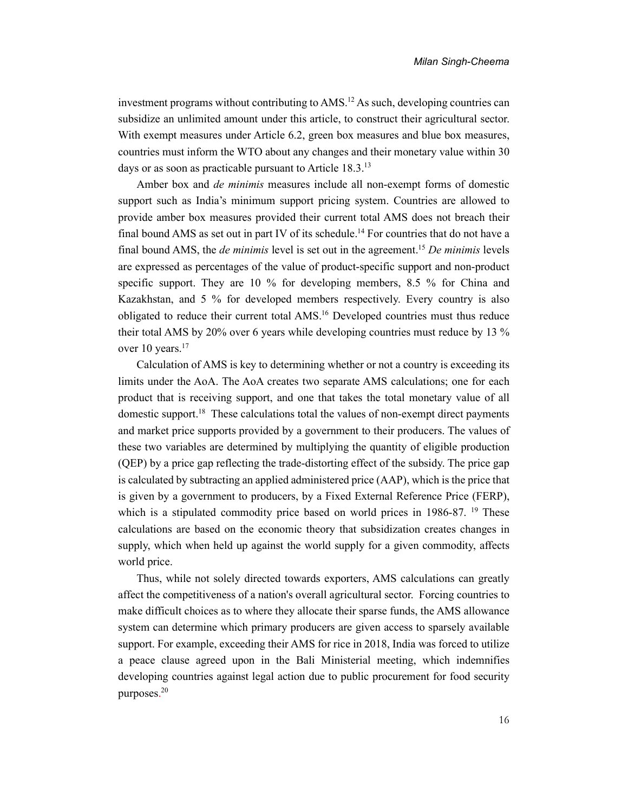investment programs without contributing to AMS.[12](#page-14-7) As such, developing countries can subsidize an unlimited amount under this article, to construct their agricultural sector. With exempt measures under Article 6.2, green box measures and blue box measures, countries must inform the WTO about any changes and their monetary value within 30 days or as soon as practicable pursuant to Article 18.3.[13](#page-14-8)

Amber box and *de minimis* measures include all non-exempt forms of domestic support such as India's minimum support pricing system. Countries are allowed to provide amber box measures provided their current total AMS does not breach their final bound AMS as set out in part IV of its schedule.<sup>[14](#page-14-9)</sup> For countries that do not have a final bound AMS, the *de minimis* level is set out in the agreement.[15](#page-14-10) *De minimis* levels are expressed as percentages of the value of product-specific support and non-product specific support. They are 10 % for developing members, 8.5 % for China and Kazakhstan, and 5 % for developed members respectively. Every country is also obligated to reduce their current total AMS.[16](#page-14-11) Developed countries must thus reduce their total AMS by 20% over 6 years while developing countries must reduce by 13 % over 10 years.<sup>[17](#page-14-12)</sup>

Calculation of AMS is key to determining whether or not a country is exceeding its limits under the AoA. The AoA creates two separate AMS calculations; one for each product that is receiving support, and one that takes the total monetary value of all domestic support.[18](#page-14-13) These calculations total the values of non-exempt direct payments and market price supports provided by a government to their producers. The values of these two variables are determined by multiplying the quantity of eligible production (QEP) by a price gap reflecting the trade-distorting effect of the subsidy. The price gap is calculated by subtracting an applied administered price (AAP), which is the price that is given by a government to producers, by a Fixed External Reference Price (FERP), which is a stipulated commodity price based on world prices in [19](#page-14-14)86-87.<sup>19</sup> These calculations are based on the economic theory that subsidization creates changes in supply, which when held up against the world supply for a given commodity, affects world price.

Thus, while not solely directed towards exporters, AMS calculations can greatly affect the competitiveness of a nation's overall agricultural sector. Forcing countries to make difficult choices as to where they allocate their sparse funds, the AMS allowance system can determine which primary producers are given access to sparsely available support. For example, exceeding their AMS for rice in 2018, India was forced to utilize a peace clause agreed upon in the Bali Ministerial meeting, which indemnifies developing countries against legal action due to public procurement for food security purposes. [20](#page-14-15)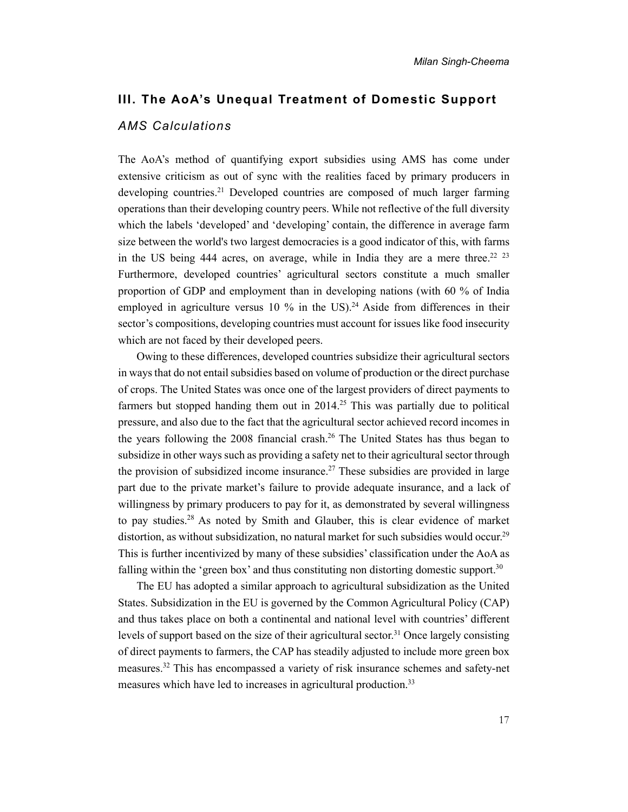## **III. The AoA's Unequal Treatment of Domestic Support** *AMS Calculations*

The AoA's method of quantifying export subsidies using AMS has come under extensive criticism as out of sync with the realities faced by primary producers in developing countries.<sup>[21](#page-14-16)</sup> Developed countries are composed of much larger farming operations than their developing country peers. While not reflective of the full diversity which the labels 'developed' and 'developing' contain, the difference in average farm size between the world's two largest democracies is a good indicator of this, with farms in the US being 444 acres, on average, while in India they are a mere three.<sup>[22](#page-14-17) [23](#page-14-18)</sup> Furthermore, developed countries' agricultural sectors constitute a much smaller proportion of GDP and employment than in developing nations (with 60 % of India employed in agriculture versus 10 % in the US).<sup>[24](#page-14-19)</sup> Aside from differences in their sector's compositions, developing countries must account for issues like food insecurity which are not faced by their developed peers.

Owing to these differences, developed countries subsidize their agricultural sectors in ways that do not entail subsidies based on volume of production or the direct purchase of crops. The United States was once one of the largest providers of direct payments to farmers but stopped handing them out in  $2014<sup>25</sup>$  $2014<sup>25</sup>$  $2014<sup>25</sup>$  This was partially due to political pressure, and also due to the fact that the agricultural sector achieved record incomes in the years following the 2008 financial crash.[26](#page-15-1) The United States has thus began to subsidize in other ways such as providing a safety net to their agricultural sector through the provision of subsidized income insurance.<sup>[27](#page-15-2)</sup> These subsidies are provided in large part due to the private market's failure to provide adequate insurance, and a lack of willingness by primary producers to pay for it, as demonstrated by several willingness to pay studies.[28](#page-15-3) As noted by Smith and Glauber, this is clear evidence of market distortion, as without subsidization, no natural market for such subsidies would occur.<sup>[29](#page-15-4)</sup> This is further incentivized by many of these subsidies' classification under the AoA as falling within the 'green box' and thus constituting non distorting domestic support.<sup>[30](#page-15-5)</sup>

The EU has adopted a similar approach to agricultural subsidization as the United States. Subsidization in the EU is governed by the Common Agricultural Policy (CAP) and thus takes place on both a continental and national level with countries' different levels of support based on the size of their agricultural sector.<sup>[31](#page-15-6)</sup> Once largely consisting of direct payments to farmers, the CAP has steadily adjusted to include more green box measures.[32](#page-15-7) This has encompassed a variety of risk insurance schemes and safety-net measures which have led to increases in agricultural production.[33](#page-15-8)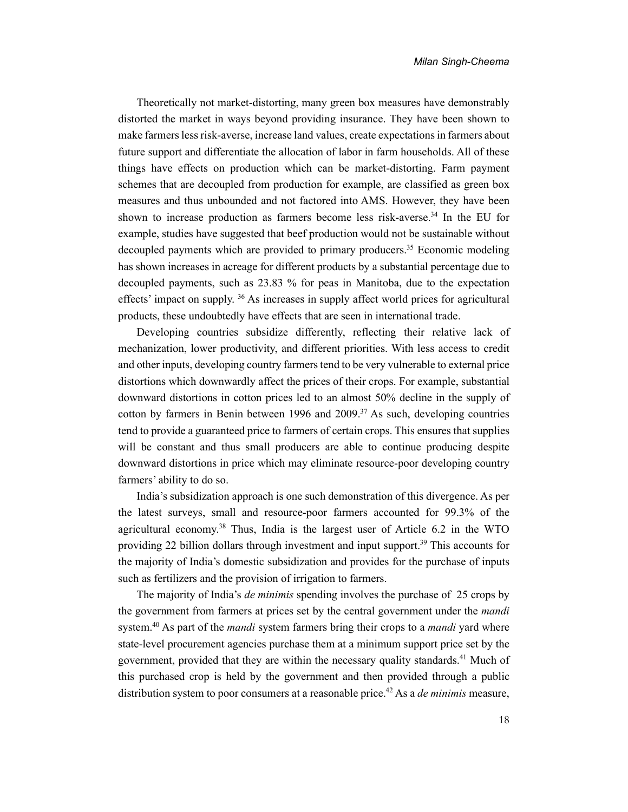Theoretically not market-distorting, many green box measures have demonstrably distorted the market in ways beyond providing insurance. They have been shown to make farmers less risk-averse, increase land values, create expectations in farmers about future support and differentiate the allocation of labor in farm households. All of these things have effects on production which can be market-distorting. Farm payment schemes that are decoupled from production for example, are classified as green box measures and thus unbounded and not factored into AMS. However, they have been shown to increase production as farmers become less risk-averse.[34](#page-15-9) In the EU for example, studies have suggested that beef production would not be sustainable without decoupled payments which are provided to primary producers.[35](#page-15-10) Economic modeling has shown increases in acreage for different products by a substantial percentage due to decoupled payments, such as 23.83 % for peas in Manitoba, due to the expectation effects' impact on supply. [36](#page-15-11) As increases in supply affect world prices for agricultural products, these undoubtedly have effects that are seen in international trade.

Developing countries subsidize differently, reflecting their relative lack of mechanization, lower productivity, and different priorities. With less access to credit and other inputs, developing country farmers tend to be very vulnerable to external price distortions which downwardly affect the prices of their crops. For example, substantial downward distortions in cotton prices led to an almost 50% decline in the supply of cotton by farmers in Benin between 1996 and  $2009$ .<sup>[37](#page-15-12)</sup> As such, developing countries tend to provide a guaranteed price to farmers of certain crops. This ensures that supplies will be constant and thus small producers are able to continue producing despite downward distortions in price which may eliminate resource-poor developing country farmers' ability to do so.

India's subsidization approach is one such demonstration of this divergence. As per the latest surveys, small and resource-poor farmers accounted for 99.3% of the agricultural economy.[38](#page-15-13) Thus, India is the largest user of Article 6.2 in the WTO providing 22 billion dollars through investment and input support.[39](#page-15-14) This accounts for the majority of India's domestic subsidization and provides for the purchase of inputs such as fertilizers and the provision of irrigation to farmers.

The majority of India's *de minimis* spending involves the purchase of 25 crops by the government from farmers at prices set by the central government under the *mandi*  system.[40](#page-15-15) As part of the *mandi* system farmers bring their crops to a *mandi* yard where state-level procurement agencies purchase them at a minimum support price set by the government, provided that they are within the necessary quality standards.<sup>[41](#page-15-16)</sup> Much of this purchased crop is held by the government and then provided through a public distribution system to poor consumers at a reasonable price.<sup>[42](#page-15-17)</sup> As a *de minimis* measure,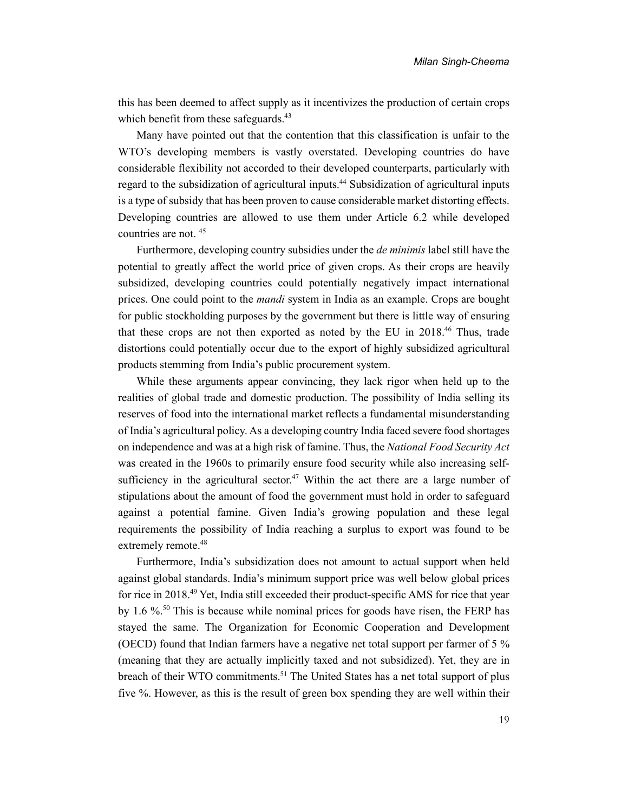this has been deemed to affect supply as it incentivizes the production of certain crops which benefit from these safeguards.<sup>[43](#page-15-18)</sup>

Many have pointed out that the contention that this classification is unfair to the WTO's developing members is vastly overstated. Developing countries do have considerable flexibility not accorded to their developed counterparts, particularly with regard to the subsidization of agricultural inputs.<sup>[44](#page-15-19)</sup> Subsidization of agricultural inputs is a type of subsidy that has been proven to cause considerable market distorting effects. Developing countries are allowed to use them under Article 6.2 while developed countries are not. [45](#page-15-20)

Furthermore, developing country subsidies under the *de minimis* label still have the potential to greatly affect the world price of given crops. As their crops are heavily subsidized, developing countries could potentially negatively impact international prices. One could point to the *mandi* system in India as an example. Crops are bought for public stockholding purposes by the government but there is little way of ensuring that these crops are not then exported as noted by the EU in 2018.[46](#page-15-21) Thus, trade distortions could potentially occur due to the export of highly subsidized agricultural products stemming from India's public procurement system.

While these arguments appear convincing, they lack rigor when held up to the realities of global trade and domestic production. The possibility of India selling its reserves of food into the international market reflects a fundamental misunderstanding of India's agricultural policy. As a developing country India faced severe food shortages on independence and was at a high risk of famine. Thus, the *National Food Security Act* was created in the 1960s to primarily ensure food security while also increasing self-sufficiency in the agricultural sector.<sup>[47](#page-15-22)</sup> Within the act there are a large number of stipulations about the amount of food the government must hold in order to safeguard against a potential famine. Given India's growing population and these legal requirements the possibility of India reaching a surplus to export was found to be extremely remote.<sup>[48](#page-15-23)</sup>

Furthermore, India's subsidization does not amount to actual support when held against global standards. India's minimum support price was well below global prices for rice in 2018.[49](#page-15-24) Yet, India still exceeded their product-specific AMS for rice that year by 1.6 %.[50](#page-15-25) This is because while nominal prices for goods have risen, the FERP has stayed the same. The Organization for Economic Cooperation and Development (OECD) found that Indian farmers have a negative net total support per farmer of 5 % (meaning that they are actually implicitly taxed and not subsidized). Yet, they are in breach of their WTO commitments.<sup>[51](#page-15-26)</sup> The United States has a net total support of plus five %. However, as this is the result of green box spending they are well within their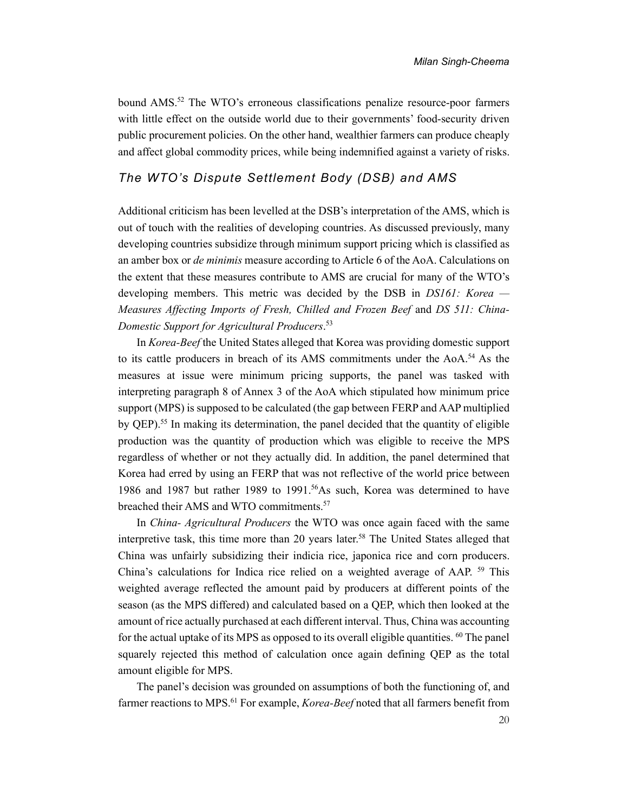bound AMS.[52](#page-15-27) The WTO's erroneous classifications penalize resource-poor farmers with little effect on the outside world due to their governments' food-security driven public procurement policies. On the other hand, wealthier farmers can produce cheaply and affect global commodity prices, while being indemnified against a variety of risks.

#### *The WTO's Dispute Settlement Body (DSB) and AMS*

Additional criticism has been levelled at the DSB's interpretation of the AMS, which is out of touch with the realities of developing countries. As discussed previously, many developing countries subsidize through minimum support pricing which is classified as an amber box or *de minimis* measure according to Article 6 of the AoA. Calculations on the extent that these measures contribute to AMS are crucial for many of the WTO's developing members. This metric was decided by the DSB in *DS161: Korea — Measures Affecting Imports of Fresh, Chilled and Frozen Beef* and *DS 511: China-Domestic Support for Agricultural Producers*. [53](#page-16-0)

In *Korea-Beef* the United States alleged that Korea was providing domestic support to its cattle producers in breach of its AMS commitments under the AoA.[54](#page-16-1) As the measures at issue were minimum pricing supports, the panel was tasked with interpreting paragraph 8 of Annex 3 of the AoA which stipulated how minimum price support (MPS) is supposed to be calculated (the gap between FERP and AAP multiplied by QEP).[55](#page-16-2) In making its determination, the panel decided that the quantity of eligible production was the quantity of production which was eligible to receive the MPS regardless of whether or not they actually did. In addition, the panel determined that Korea had erred by using an FERP that was not reflective of the world price between 1986 and 1987 but rather 1989 to 1991.[56](#page-16-3)As such, Korea was determined to have breached their AMS and WTO commitments.<sup>[57](#page-16-4)</sup>

In *China- Agricultural Producers* the WTO was once again faced with the same interpretive task, this time more than 20 years later.[58](#page-16-5) The United States alleged that China was unfairly subsidizing their indicia rice, japonica rice and corn producers. China's calculations for Indica rice relied on a weighted average of AAP. [59](#page-16-6) This weighted average reflected the amount paid by producers at different points of the season (as the MPS differed) and calculated based on a QEP, which then looked at the amount of rice actually purchased at each different interval. Thus, China was accounting for the actual uptake of its MPS as opposed to its overall eligible quantities. <sup>[60](#page-16-7)</sup> The panel squarely rejected this method of calculation once again defining QEP as the total amount eligible for MPS.

The panel's decision was grounded on assumptions of both the functioning of, and farmer reactions to MPS.[61](#page-16-8) For example, *Korea-Beef* noted that all farmers benefit from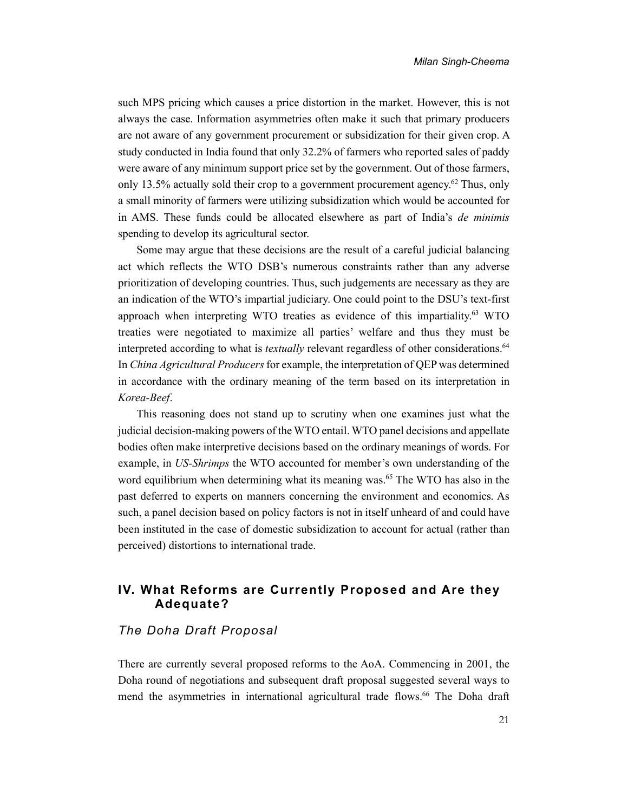such MPS pricing which causes a price distortion in the market. However, this is not always the case. Information asymmetries often make it such that primary producers are not aware of any government procurement or subsidization for their given crop. A study conducted in India found that only 32.2% of farmers who reported sales of paddy were aware of any minimum support price set by the government. Out of those farmers, only 13.5% actually sold their crop to a government procurement agency.<sup>[62](#page-16-9)</sup> Thus, only a small minority of farmers were utilizing subsidization which would be accounted for in AMS. These funds could be allocated elsewhere as part of India's *de minimis*  spending to develop its agricultural sector.

Some may argue that these decisions are the result of a careful judicial balancing act which reflects the WTO DSB's numerous constraints rather than any adverse prioritization of developing countries. Thus, such judgements are necessary as they are an indication of the WTO's impartial judiciary. One could point to the DSU's text-first approach when interpreting WTO treaties as evidence of this impartiality.[63](#page-16-10) WTO treaties were negotiated to maximize all parties' welfare and thus they must be interpreted according to what is *textually* relevant regardless of other considerations.<sup>[64](#page-16-11)</sup> In *China Agricultural Producers* for example, the interpretation of QEP was determined in accordance with the ordinary meaning of the term based on its interpretation in *Korea-Beef*.

This reasoning does not stand up to scrutiny when one examines just what the judicial decision-making powers of the WTO entail. WTO panel decisions and appellate bodies often make interpretive decisions based on the ordinary meanings of words. For example, in *US-Shrimps* the WTO accounted for member's own understanding of the word equilibrium when determining what its meaning was.<sup>[65](#page-16-12)</sup> The WTO has also in the past deferred to experts on manners concerning the environment and economics. As such, a panel decision based on policy factors is not in itself unheard of and could have been instituted in the case of domestic subsidization to account for actual (rather than perceived) distortions to international trade.

#### **IV. What Reforms are Currently Proposed and Are they Adequate?**

#### *The Doha Draft Proposal*

There are currently several proposed reforms to the AoA. Commencing in 2001, the Doha round of negotiations and subsequent draft proposal suggested several ways to mend the asymmetries in international agricultural trade flows.[66](#page-16-13) The Doha draft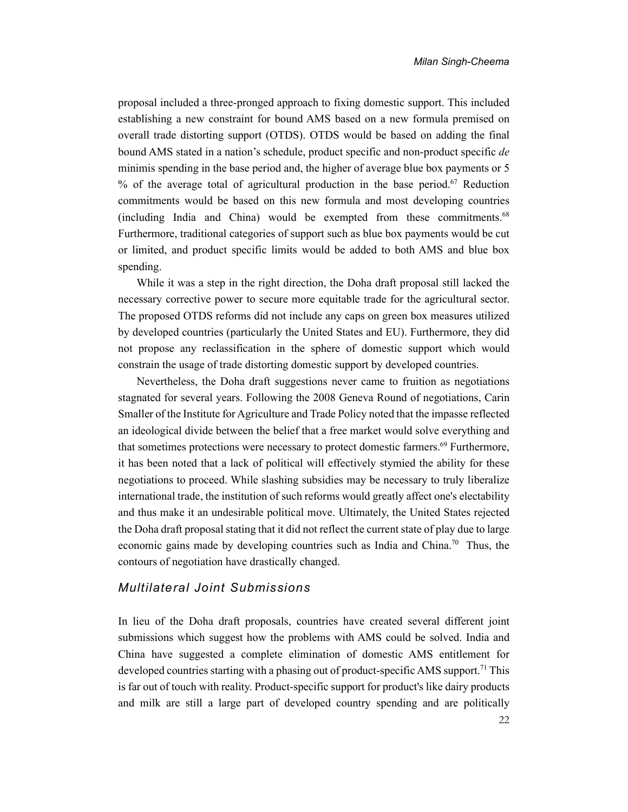proposal included a three-pronged approach to fixing domestic support. This included establishing a new constraint for bound AMS based on a new formula premised on overall trade distorting support (OTDS). OTDS would be based on adding the final bound AMS stated in a nation's schedule, product specific and non-product specific *de*  minimis spending in the base period and, the higher of average blue box payments or 5 % of the average total of agricultural production in the base period.[67](#page-16-14) Reduction commitments would be based on this new formula and most developing countries (including India and China) would be exempted from these commitments.<sup>[68](#page-16-15)</sup> Furthermore, traditional categories of support such as blue box payments would be cut or limited, and product specific limits would be added to both AMS and blue box spending.

While it was a step in the right direction, the Doha draft proposal still lacked the necessary corrective power to secure more equitable trade for the agricultural sector. The proposed OTDS reforms did not include any caps on green box measures utilized by developed countries (particularly the United States and EU). Furthermore, they did not propose any reclassification in the sphere of domestic support which would constrain the usage of trade distorting domestic support by developed countries.

Nevertheless, the Doha draft suggestions never came to fruition as negotiations stagnated for several years. Following the 2008 Geneva Round of negotiations, Carin Smaller of the Institute for Agriculture and Trade Policy noted that the impasse reflected an ideological divide between the belief that a free market would solve everything and that sometimes protections were necessary to protect domestic farmers.[69](#page-16-16) Furthermore, it has been noted that a lack of political will effectively stymied the ability for these negotiations to proceed. While slashing subsidies may be necessary to truly liberalize international trade, the institution of such reforms would greatly affect one's electability and thus make it an undesirable political move. Ultimately, the United States rejected the Doha draft proposal stating that it did not reflect the current state of play due to large economic gains made by developing countries such as India and China.[70](#page-16-17) Thus, the contours of negotiation have drastically changed.

#### *Multilateral Joint Submissions*

In lieu of the Doha draft proposals, countries have created several different joint submissions which suggest how the problems with AMS could be solved. India and China have suggested a complete elimination of domestic AMS entitlement for developed countries starting with a phasing out of product-specific AMS support.<sup>[71](#page-16-18)</sup> This is far out of touch with reality. Product-specific support for product's like dairy products and milk are still a large part of developed country spending and are politically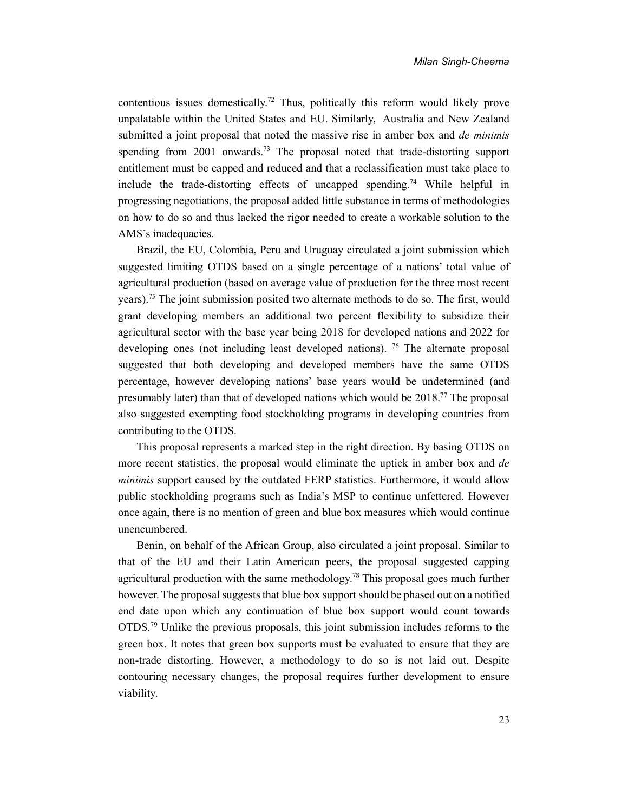contentious issues domestically.[72](#page-16-19) Thus, politically this reform would likely prove unpalatable within the United States and EU. Similarly, Australia and New Zealand submitted a joint proposal that noted the massive rise in amber box and *de minimis*  spending from 2001 onwards.[73](#page-16-20) The proposal noted that trade-distorting support entitlement must be capped and reduced and that a reclassification must take place to include the trade-distorting effects of uncapped spending.[74](#page-16-21) While helpful in progressing negotiations, the proposal added little substance in terms of methodologies on how to do so and thus lacked the rigor needed to create a workable solution to the AMS's inadequacies.

Brazil, the EU, Colombia, Peru and Uruguay circulated a joint submission which suggested limiting OTDS based on a single percentage of a nations' total value of agricultural production (based on average value of production for the three most recent years).<sup>[75](#page-16-22)</sup> The joint submission posited two alternate methods to do so. The first, would grant developing members an additional two percent flexibility to subsidize their agricultural sector with the base year being 2018 for developed nations and 2022 for developing ones (not including least developed nations). [76](#page-16-23) The alternate proposal suggested that both developing and developed members have the same OTDS percentage, however developing nations' base years would be undetermined (and presumably later) than that of developed nations which would be 2018.[77](#page-16-24) The proposal also suggested exempting food stockholding programs in developing countries from contributing to the OTDS.

This proposal represents a marked step in the right direction. By basing OTDS on more recent statistics, the proposal would eliminate the uptick in amber box and *de minimis* support caused by the outdated FERP statistics. Furthermore, it would allow public stockholding programs such as India's MSP to continue unfettered. However once again, there is no mention of green and blue box measures which would continue unencumbered.

Benin, on behalf of the African Group, also circulated a joint proposal. Similar to that of the EU and their Latin American peers, the proposal suggested capping agricultural production with the same methodology.<sup>[78](#page-16-25)</sup> This proposal goes much further however. The proposal suggests that blue box support should be phased out on a notified end date upon which any continuation of blue box support would count towards OTDS.[79](#page-16-26) Unlike the previous proposals, this joint submission includes reforms to the green box. It notes that green box supports must be evaluated to ensure that they are non-trade distorting. However, a methodology to do so is not laid out. Despite contouring necessary changes, the proposal requires further development to ensure viability.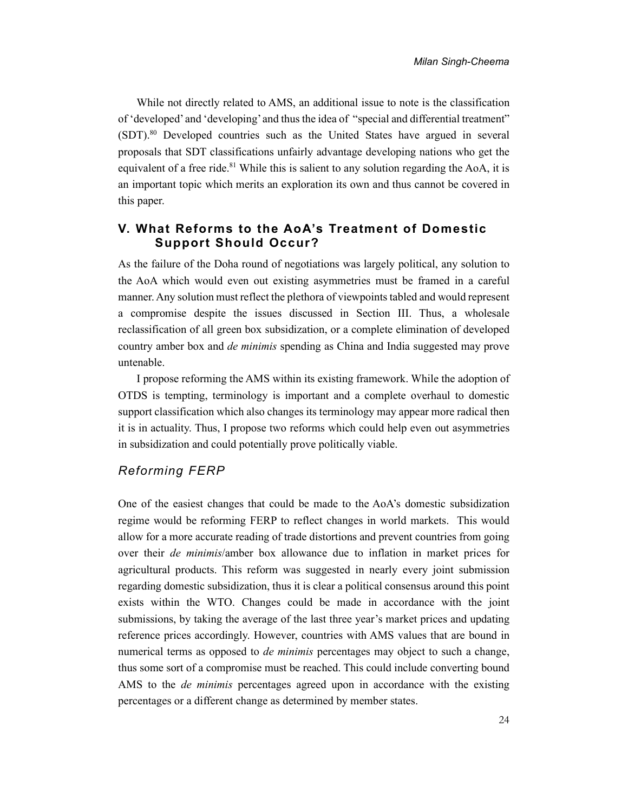While not directly related to AMS, an additional issue to note is the classification of 'developed' and 'developing' and thus the idea of "special and differential treatment" (SDT).[80](#page-17-0) Developed countries such as the United States have argued in several proposals that SDT classifications unfairly advantage developing nations who get the equivalent of a free ride.<sup>[81](#page-17-1)</sup> While this is salient to any solution regarding the AoA, it is an important topic which merits an exploration its own and thus cannot be covered in this paper.

#### **V. What Reforms to the AoA's Treatment of Domestic Support Should Occur?**

As the failure of the Doha round of negotiations was largely political, any solution to the AoA which would even out existing asymmetries must be framed in a careful manner. Any solution must reflect the plethora of viewpoints tabled and would represent a compromise despite the issues discussed in Section III. Thus, a wholesale reclassification of all green box subsidization, or a complete elimination of developed country amber box and *de minimis* spending as China and India suggested may prove untenable.

I propose reforming the AMS within its existing framework. While the adoption of OTDS is tempting, terminology is important and a complete overhaul to domestic support classification which also changes its terminology may appear more radical then it is in actuality. Thus, I propose two reforms which could help even out asymmetries in subsidization and could potentially prove politically viable.

#### *Reforming FERP*

One of the easiest changes that could be made to the AoA's domestic subsidization regime would be reforming FERP to reflect changes in world markets. This would allow for a more accurate reading of trade distortions and prevent countries from going over their *de minimis*/amber box allowance due to inflation in market prices for agricultural products. This reform was suggested in nearly every joint submission regarding domestic subsidization, thus it is clear a political consensus around this point exists within the WTO. Changes could be made in accordance with the joint submissions, by taking the average of the last three year's market prices and updating reference prices accordingly. However, countries with AMS values that are bound in numerical terms as opposed to *de minimis* percentages may object to such a change, thus some sort of a compromise must be reached. This could include converting bound AMS to the *de minimis* percentages agreed upon in accordance with the existing percentages or a different change as determined by member states.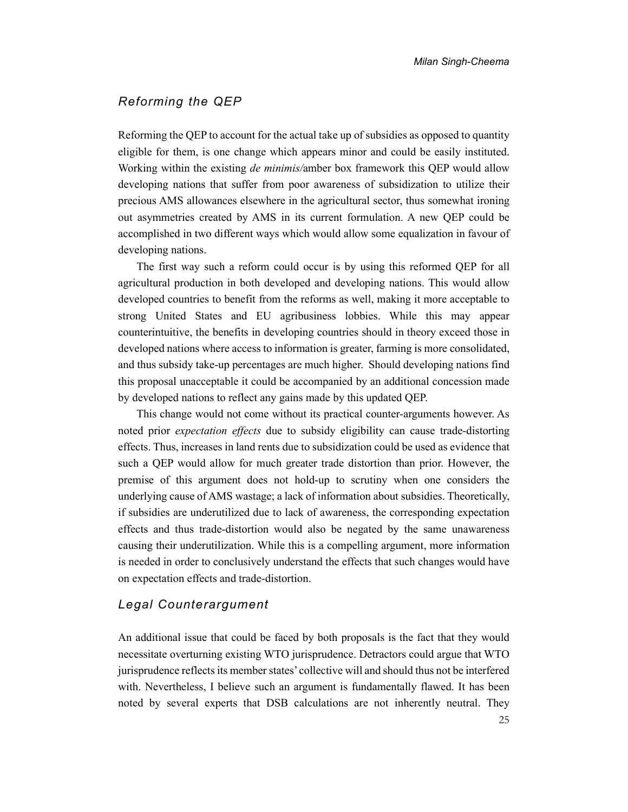#### *Reforming the QEP*

Reforming the QEP to account for the actual take up of subsidies as opposed to quantity eligible for them, is one change which appears minor and could be easily instituted. Working within the existing *de minimis/*amber box framework this QEP would allow developing nations that suffer from poor awareness of subsidization to utilize their precious AMS allowances elsewhere in the agricultural sector, thus somewhat ironing out asymmetries created by AMS in its current formulation. A new QEP could be accomplished in two different ways which would allow some equalization in favour of developing nations.

The first way such a reform could occur is by using this reformed QEP for all agricultural production in both developed and developing nations. This would allow developed countries to benefit from the reforms as well, making it more acceptable to strong United States and EU agribusiness lobbies. While this may appear counterintuitive, the benefits in developing countries should in theory exceed those in developed nations where access to information is greater, farming is more consolidated, and thus subsidy take-up percentages are much higher. Should developing nations find this proposal unacceptable it could be accompanied by an additional concession made by developed nations to reflect any gains made by this updated QEP.

This change would not come without its practical counter-arguments however. As noted prior *expectation effects* due to subsidy eligibility can cause trade-distorting effects. Thus, increases in land rents due to subsidization could be used as evidence that such a QEP would allow for much greater trade distortion than prior. However, the premise of this argument does not hold-up to scrutiny when one considers the underlying cause of AMS wastage; a lack of information about subsidies. Theoretically, if subsidies are underutilized due to lack of awareness, the corresponding expectation effects and thus trade-distortion would also be negated by the same unawareness causing their underutilization. While this is a compelling argument, more information is needed in order to conclusively understand the effects that such changes would have on expectation effects and trade-distortion.

#### *Legal Counterargument*

An additional issue that could be faced by both proposals is the fact that they would necessitate overturning existing WTO jurisprudence. Detractors could argue that WTO jurisprudence reflects its member states' collective will and should thus not be interfered with. Nevertheless, I believe such an argument is fundamentally flawed. It has been noted by several experts that DSB calculations are not inherently neutral. They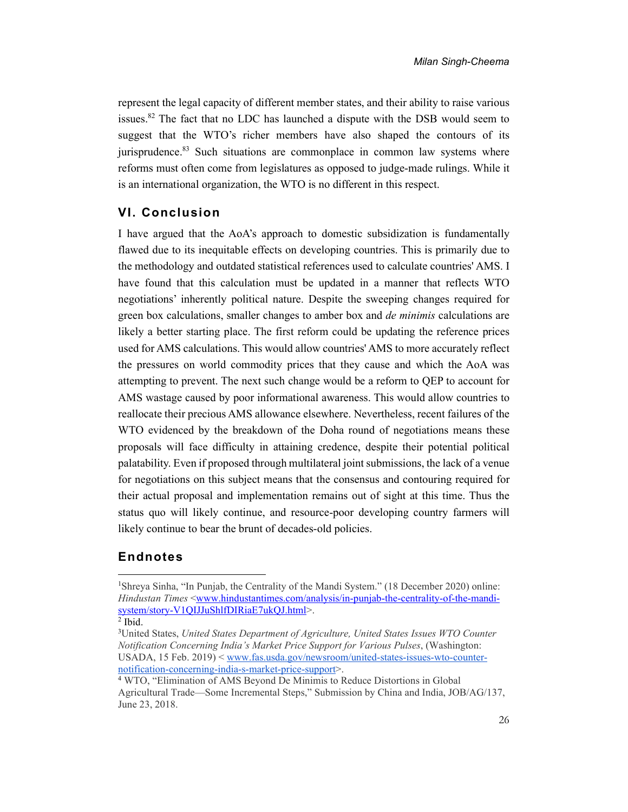represent the legal capacity of different member states, and their ability to raise various issues.[82](#page-17-2) The fact that no LDC has launched a dispute with the DSB would seem to suggest that the WTO's richer members have also shaped the contours of its jurisprudence.<sup>[83](#page-17-3)</sup> Such situations are commonplace in common law systems where reforms must often come from legislatures as opposed to judge-made rulings. While it is an international organization, the WTO is no different in this respect.

#### **VI. Conclusion**

I have argued that the AoA's approach to domestic subsidization is fundamentally flawed due to its inequitable effects on developing countries. This is primarily due to the methodology and outdated statistical references used to calculate countries' AMS. I have found that this calculation must be updated in a manner that reflects WTO negotiations' inherently political nature. Despite the sweeping changes required for green box calculations, smaller changes to amber box and *de minimis* calculations are likely a better starting place. The first reform could be updating the reference prices used for AMS calculations. This would allow countries' AMS to more accurately reflect the pressures on world commodity prices that they cause and which the AoA was attempting to prevent. The next such change would be a reform to QEP to account for AMS wastage caused by poor informational awareness. This would allow countries to reallocate their precious AMS allowance elsewhere. Nevertheless, recent failures of the WTO evidenced by the breakdown of the Doha round of negotiations means these proposals will face difficulty in attaining credence, despite their potential political palatability. Even if proposed through multilateral joint submissions, the lack of a venue for negotiations on this subject means that the consensus and contouring required for their actual proposal and implementation remains out of sight at this time. Thus the status quo will likely continue, and resource-poor developing country farmers will likely continue to bear the brunt of decades-old policies.

#### **Endnotes**

<span id="page-13-0"></span><sup>1</sup>Shreya Sinha, "In Punjab, the Centrality of the Mandi System." (18 December 2020) online: *Hindustan Times* [<www.hindustantimes.com/analysis/in-punjab-the-centrality-of-the-mandi](http://www.hindustantimes.com/analysis/in-punjab-the-centrality-of-the-mandi-system/story-V1QIJJuShlfDIRiaE7ukQJ.html)[system/story-V1QIJJuShlfDIRiaE7ukQJ.html>](http://www.hindustantimes.com/analysis/in-punjab-the-centrality-of-the-mandi-system/story-V1QIJJuShlfDIRiaE7ukQJ.html).

<span id="page-13-1"></span> $2$  Ibid.

<span id="page-13-2"></span><sup>3</sup>United States, *United States Department of Agriculture, United States Issues WTO Counter Notification Concerning India's Market Price Support for Various Pulses*, (Washington: USADA, 15 Feb. 2019) < [www.fas.usda.gov/newsroom/united-states-issues-wto-counter](http://www.fas.usda.gov/newsroom/united-states-issues-wto-counter-notification-concerning-india-s-market-price-support)[notification-concerning-india-s-market-price-support>](http://www.fas.usda.gov/newsroom/united-states-issues-wto-counter-notification-concerning-india-s-market-price-support).

<span id="page-13-3"></span><sup>4</sup> WTO, "Elimination of AMS Beyond De Minimis to Reduce Distortions in Global Agricultural Trade—Some Incremental Steps," Submission by China and India, JOB/AG/137, June 23, 2018.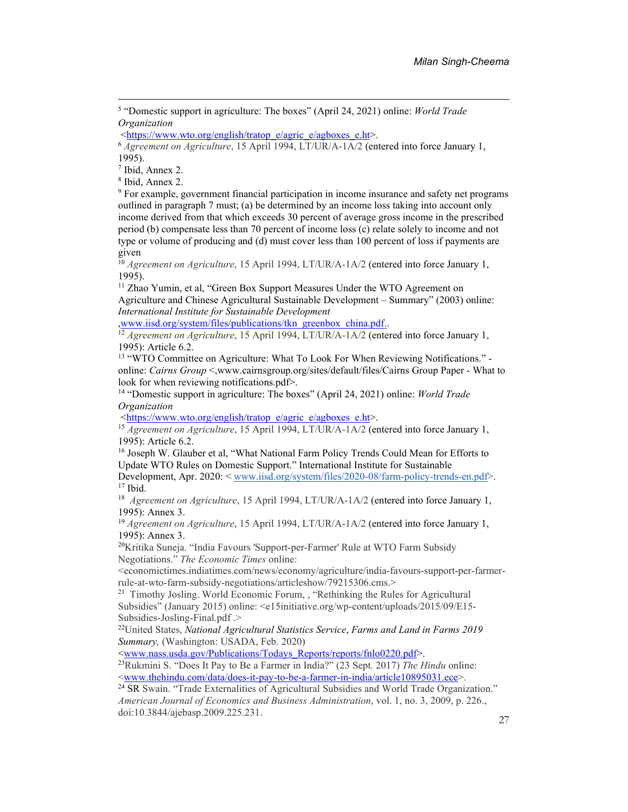<span id="page-14-0"></span>5 "Domestic support in agriculture: The boxes" (April 24, 2021) online: *World Trade Organization* 

[<https://www.wto.org/english/tratop\\_e/agric\\_e/agboxes\\_e.ht>](https://www.wto.org/english/tratop_e/agric_e/agboxes_e.ht).

<span id="page-14-1"></span><sup>6</sup> *Agreement on Agriculture*, 15 April 1994, LT/UR/A-1A/2 (entered into force January 1, 1995).

<span id="page-14-2"></span>7 Ibid, Annex 2.

<span id="page-14-3"></span>8 Ibid, Annex 2.

<span id="page-14-4"></span>9 For example, government financial participation in income insurance and safety net programs outlined in paragraph 7 must; (a) be determined by an income loss taking into account only income derived from that which exceeds 30 percent of average gross income in the prescribed period (b) compensate less than 70 percent of income loss (c) relate solely to income and not type or volume of producing and (d) must cover less than 100 percent of loss if payments are given

<span id="page-14-5"></span><sup>10</sup> *Agreement on Agriculture*, 15 April 1994, LT/UR/A-1A/2 (entered into force January 1, 1995).

<span id="page-14-6"></span><sup>11</sup> Zhao Yumin, et al, "Green Box Support Measures Under the WTO Agreement on Agriculture and Chinese Agricultural Sustainable Development – Summary" (2003) online: *International Institute for Sustainable Development*

[,www.iisd.org/system/files/publications/tkn\\_greenbox\\_china.pdf.](http://www.iisd.org/system/files/publications/tkn_greenbox_china.pdf).

<span id="page-14-7"></span><sup>12</sup> *Agreement on Agriculture*, 15 April 1994, LT/UR/A-1A/2 (entered into force January 1, 1995): Article 6.2.

<span id="page-14-8"></span><sup>13</sup> "WTO Committee on Agriculture: What To Look For When Reviewing Notifications." online: *Cairns Group* <,www.cairnsgroup.org/sites/default/files/Cairns Group Paper - What to look for when reviewing notifications.pdf>.

<span id="page-14-9"></span><sup>14</sup> "Domestic support in agriculture: The boxes" (April 24, 2021) online: *World Trade Organization* 

[<https://www.wto.org/english/tratop\\_e/agric\\_e/agboxes\\_e.ht>](https://www.wto.org/english/tratop_e/agric_e/agboxes_e.ht).

<span id="page-14-10"></span><sup>15</sup> *Agreement on Agriculture*, 15 April 1994, LT/UR/A-1A/2 (entered into force January 1, 1995): Article 6.2.

<span id="page-14-11"></span><sup>16</sup> Joseph W. Glauber et al, "What National Farm Policy Trends Could Mean for Efforts to Update WTO Rules on Domestic Support." International Institute for Sustainable

Development, Apr. 2020: < [www.iisd.org/system/files/2020-08/farm-policy-trends-en.pdf>](http://www.iisd.org/system/files/2020-08/farm-policy-trends-en.pdf).  $17$  Ibid.

<span id="page-14-13"></span><span id="page-14-12"></span><sup>18</sup> Agreement on Agriculture, 15 April 1994, LT/UR/A-1A/2 (entered into force January 1, 1995): Annex 3.

<span id="page-14-14"></span><sup>19</sup> *Agreement on Agriculture*, 15 April 1994, LT/UR/A-1A/2 (entered into force January 1, 1995): Annex 3.

<span id="page-14-15"></span><sup>20</sup>Kritika Suneja. "India Favours 'Support-per-Farmer' Rule at WTO Farm Subsidy Negotiations." *The Economic Times* online:

<economictimes.indiatimes.com/news/economy/agriculture/india-favours-support-per-farmerrule-at-wto-farm-subsidy-negotiations/articleshow/79215306.cms.>

<span id="page-14-16"></span><sup>21</sup> Timothy Josling. World Economic Forum,, "Rethinking the Rules for Agricultural Subsidies" (January 2015) online: <e15initiative.org/wp-content/uploads/2015/09/E15- Subsidies-Josling-Final.pdf .>

<span id="page-14-17"></span><sup>22</sup>United States, *National Agricultural Statistics Service*, *Farms and Land in Farms 2019 Summary,* (Washington: USADA, Feb. 2020)

[<www.nass.usda.gov/Publications/Todays\\_Reports/reports/fnlo0220.pdf>](http://www.nass.usda.gov/Publications/Todays_Reports/reports/fnlo0220.pdf).

<span id="page-14-18"></span><sup>23</sup>Rukmini S. "Does It Pay to Be a Farmer in India?" (23 Sept. 2017) *The Hindu* online: [<www.thehindu.com/data/does-it-pay-to-be-a-farmer-in-india/article10895031.ece>](http://www.thehindu.com/data/does-it-pay-to-be-a-farmer-in-india/article10895031.ece).

<span id="page-14-19"></span><sup>24</sup> SR Swain. "Trade Externalities of Agricultural Subsidies and World Trade Organization." *American Journal of Economics and Business Administration*, vol. 1, no. 3, 2009, p. 226., doi:10.3844/ajebasp.2009.225.231.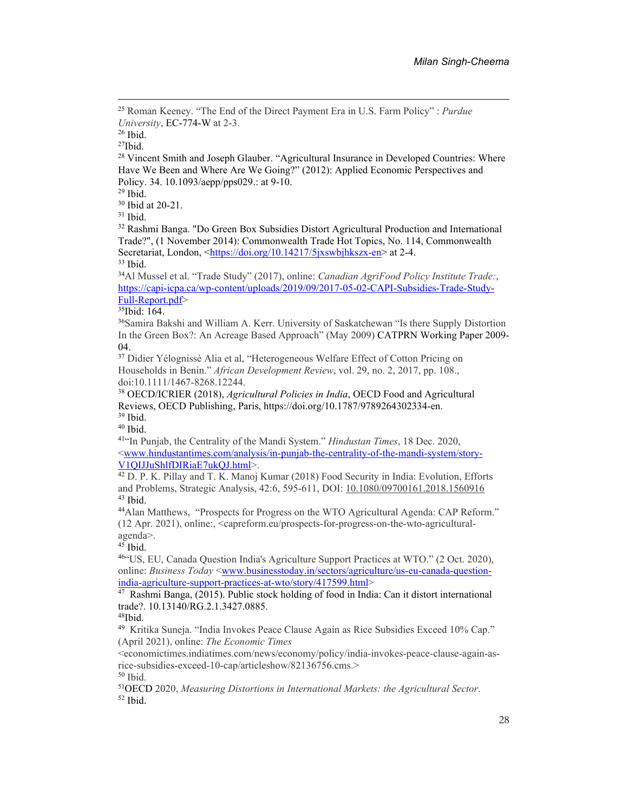<span id="page-15-0"></span><sup>25</sup> Roman Keeney. "The End of the Direct Payment Era in U.S. Farm Policy" : *Purdue University*, EC-774-W at 2-3.

<span id="page-15-1"></span><sup>26</sup> Ibid.

<span id="page-15-2"></span> $27$ Ibid.

<span id="page-15-3"></span><sup>28</sup> Vincent Smith and Joseph Glauber. "Agricultural Insurance in Developed Countries: Where Have We Been and Where Are We Going?" (2012): Applied Economic Perspectives and Policy. 34. 10.1093/aepp/pps029.: at 9-10.

<span id="page-15-4"></span> $29$  Ibid.

<span id="page-15-5"></span><sup>30</sup> Ibid at 20-21.

<span id="page-15-6"></span> $31$  Ibid.

<span id="page-15-7"></span><sup>32</sup> Rashmi Banga. "Do Green Box Subsidies Distort Agricultural Production and International Trade?", (1 November 2014): Commonwealth Trade Hot Topics, No. 114, Commonwealth Secretariat, London, [<https://doi.org/10.14217/5jxswbjhkszx-en>](https://doi.org/10.14217/5jxswbjhkszx-en) at 2-4. <sup>33</sup> Ibid.

<span id="page-15-9"></span><span id="page-15-8"></span><sup>34</sup>Al Mussel et al. "Trade Study" (2017), online: *Canadian AgriFood Policy Institute Trade:*, [https://capi-icpa.ca/wp-content/uploads/2019/09/2017-05-02-CAPI-Subsidies-Trade-Study-](https://capi-icpa.ca/wp-content/uploads/2019/09/2017-05-02-CAPI-Subsidies-Trade-Study-Full-Report.pdf)[Full-Report.pdf>](https://capi-icpa.ca/wp-content/uploads/2019/09/2017-05-02-CAPI-Subsidies-Trade-Study-Full-Report.pdf)

<span id="page-15-10"></span><sup>35</sup>Ibid: 164.

<span id="page-15-11"></span><sup>36</sup>Samira Bakshi and William A. Kerr. University of Saskatchewan "Is there Supply Distortion In the Green Box?: An Acreage Based Approach" (May 2009) CATPRN Working Paper 2009- 04.

<span id="page-15-12"></span><sup>37</sup> Didier Yélognissè Alia et al, "Heterogeneous Welfare Effect of Cotton Pricing on Households in Benin." *African Development Review*, vol. 29, no. 2, 2017, pp. 108., doi:10.1111/1467-8268.12244.

<span id="page-15-13"></span><sup>38</sup> OECD/ICRIER (2018), *Agricultural Policies in India*, OECD Food and Agricultural Reviews, OECD Publishing, Paris, [https://doi.org/10.1787/9789264302334-en.](https://doi.org/10.1787/9789264302334-en)  <sup>39</sup> Ibid.

<span id="page-15-15"></span><span id="page-15-14"></span><sup>40</sup> Ibid.

<span id="page-15-16"></span><sup>41</sup>"In Punjab, the Centrality of the Mandi System." *Hindustan Times*, 18 Dec. 2020, [<www.hindustantimes.com/analysis/in-punjab-the-centrality-of-the-mandi-system/story-](http://www.hindustantimes.com/analysis/in-punjab-the-centrality-of-the-mandi-system/story-V1QIJJuShlfDIRiaE7ukQJ.html)[V1QIJJuShlfDIRiaE7ukQJ.html>](http://www.hindustantimes.com/analysis/in-punjab-the-centrality-of-the-mandi-system/story-V1QIJJuShlfDIRiaE7ukQJ.html).

<span id="page-15-17"></span><sup>42</sup> D. P. K. Pillay and T. K. Manoj Kumar (2018) Food Security in India: Evolution, Efforts and Problems, Strategic Analysis, 42:6, 595-611, DOI: [10.1080/09700161.2018.1560916](https://doi.org/10.1080/09700161.2018.1560916)   $43$  Ibid.

<span id="page-15-19"></span><span id="page-15-18"></span><sup>44</sup>Alan Matthews, "Prospects for Progress on the WTO Agricultural Agenda: CAP Reform." (12 Apr. 2021), online:, <capreform.eu/prospects-for-progress-on-the-wto-agriculturalagenda>.

<span id="page-15-20"></span> $45$  Ibid.

<span id="page-15-21"></span><sup>46</sup>"US, EU, Canada Question India's Agriculture Support Practices at WTO." (2 Oct. 2020), online: *Business Today* [<www.businesstoday.in/sectors/agriculture/us-eu-canada-question](http://www.businesstoday.in/sectors/agriculture/us-eu-canada-question-india-agriculture-support-practices-at-wto/story/417599.html)[india-agriculture-support-practices-at-wto/story/417599.html>](http://www.businesstoday.in/sectors/agriculture/us-eu-canada-question-india-agriculture-support-practices-at-wto/story/417599.html)

<span id="page-15-22"></span><sup>47</sup> Rashmi Banga, (2015). Public stock holding of food in India: Can it distort international trade?. 10.13140/RG.2.1.3427.0885.

<span id="page-15-23"></span> $48$ Ibid.

<span id="page-15-24"></span>49 Kritika Suneja. "India Invokes Peace Clause Again as Rice Subsidies Exceed 10% Cap." (April 2021), online: *The Economic Times*

<economictimes.indiatimes.com/news/economy/policy/india-invokes-peace-clause-again-asrice-subsidies-exceed-10-cap/articleshow/82136756.cms.>

<span id="page-15-25"></span><sup>50</sup> Ibid.

<span id="page-15-27"></span><span id="page-15-26"></span><sup>51</sup>OECD 2020, *Measuring Distortions in International Markets: the Agricultural Sector*. 52 Ibid.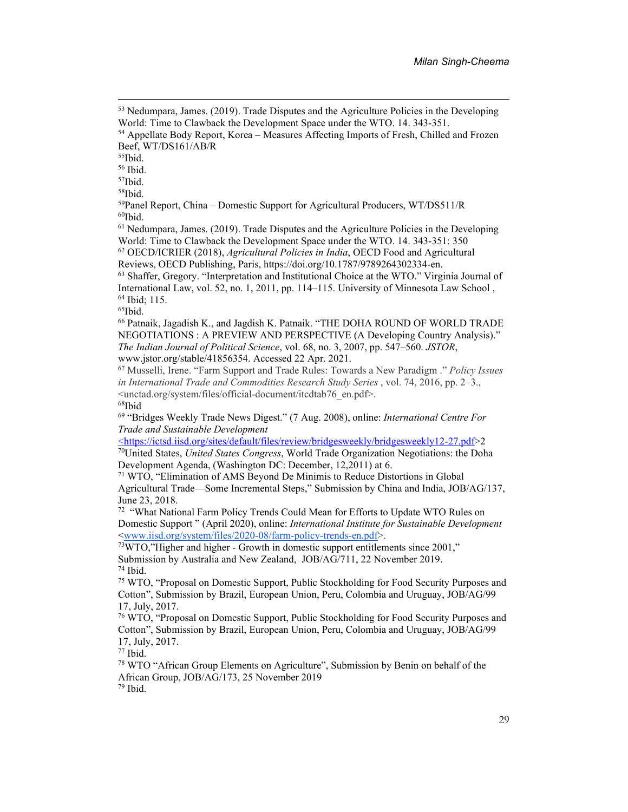<span id="page-16-2"></span><sup>55</sup>Ibid.

<span id="page-16-3"></span><sup>56</sup> Ibid.

<span id="page-16-4"></span><sup>57</sup>Ibid.

<span id="page-16-5"></span><sup>58</sup>Ibid.

<span id="page-16-6"></span><sup>59</sup>Panel Report, China – Domestic Support for Agricultural Producers, WT/DS511/R  $60$ Ibid.

<span id="page-16-8"></span><span id="page-16-7"></span><sup>61</sup> Nedumpara, James. (2019). Trade Disputes and the Agriculture Policies in the Developing World: Time to Clawback the Development Space under the WTO. 14. 343-351: 350 <sup>62</sup> OECD/ICRIER (2018), *Agricultural Policies in India*, OECD Food and Agricultural Reviews, OECD Publishing, Paris, [https://doi.org/10.1787/9789264302334-en.](https://doi.org/10.1787/9789264302334-en) 

<span id="page-16-10"></span><span id="page-16-9"></span><sup>63</sup> Shaffer, Gregory. "Interpretation and Institutional Choice at the WTO." Virginia Journal of International Law, vol. 52, no. 1, 2011, pp. 114–115. University of Minnesota Law School , <sup>64</sup> Ibid; 115.

<span id="page-16-13"></span><sup>66</sup> Patnaik, Jagadish K., and Jagdish K. Patnaik. "THE DOHA ROUND OF WORLD TRADE NEGOTIATIONS : A PREVIEW AND PERSPECTIVE (A Developing Country Analysis)." *The Indian Journal of Political Science*, vol. 68, no. 3, 2007, pp. 547–560. *JSTOR*, www.jstor.org/stable/41856354. Accessed 22 Apr. 2021.

<span id="page-16-14"></span><sup>67</sup> Musselli, Irene. "Farm Support and Trade Rules: Towards a New Paradigm ." *Policy Issues in International Trade and Commodities Research Study Series* , vol. 74, 2016, pp. 2–3., <unctad.org/system/files/official-document/itcdtab76\_en.pdf>. <sup>68</sup>Ibid

<span id="page-16-16"></span><span id="page-16-15"></span><sup>69</sup> "Bridges Weekly Trade News Digest." (7 Aug. 2008), online: *International Centre For Trade and Sustainable Development* 

<span id="page-16-17"></span>[<https://ictsd.iisd.org/sites/default/files/review/bridgesweekly/bridgesweekly12-27.pdf>](https://ictsd.iisd.org/sites/default/files/review/bridgesweekly/bridgesweekly12-27.pdf)2 <sup>70</sup>United States, *United States Congress*, World Trade Organization Negotiations: the Doha Development Agenda, (Washington DC: December, 12,2011) at 6.

<span id="page-16-18"></span><sup>71</sup> WTO, "Elimination of AMS Beyond De Minimis to Reduce Distortions in Global Agricultural Trade—Some Incremental Steps," Submission by China and India, JOB/AG/137, June 23, 2018.

<span id="page-16-19"></span><sup>72</sup> "What National Farm Policy Trends Could Mean for Efforts to Update WTO Rules on Domestic Support " (April 2020), online: *International Institute for Sustainable Development* [<www.iisd.org/system/files/2020-08/farm-policy-trends-en.pdf>](http://www.iisd.org/system/files/2020-08/farm-policy-trends-en.pdf).

<span id="page-16-20"></span><sup>73</sup>WTO,"Higher and higher - Growth in domestic support entitlements since 2001," Submission by Australia and New Zealand, JOB/AG/711, 22 November 2019. <sup>74</sup> Ibid.

<span id="page-16-22"></span><span id="page-16-21"></span><sup>75</sup> WTO, "Proposal on Domestic Support, Public Stockholding for Food Security Purposes and Cotton", Submission by Brazil, European Union, Peru, Colombia and Uruguay, JOB/AG/99 17, July, 2017.

<span id="page-16-23"></span><sup>76</sup> WTO, "Proposal on Domestic Support, Public Stockholding for Food Security Purposes and Cotton", Submission by Brazil, European Union, Peru, Colombia and Uruguay, JOB/AG/99 17, July, 2017.

<span id="page-16-24"></span> $77$  Ibid.

<span id="page-16-26"></span><span id="page-16-25"></span><sup>78</sup> WTO "African Group Elements on Agriculture", Submission by Benin on behalf of the African Group, JOB/AG/173, 25 November 2019 79 Ibid.

<span id="page-16-0"></span><sup>53</sup> Nedumpara, James. (2019). Trade Disputes and the Agriculture Policies in the Developing World: Time to Clawback the Development Space under the WTO. 14. 343-351.

<span id="page-16-1"></span><sup>54</sup> Appellate Body Report, Korea – Measures Affecting Imports of Fresh, Chilled and Frozen Beef, WT/DS161/AB/R

<span id="page-16-12"></span><span id="page-16-11"></span><sup>65</sup>Ibid.